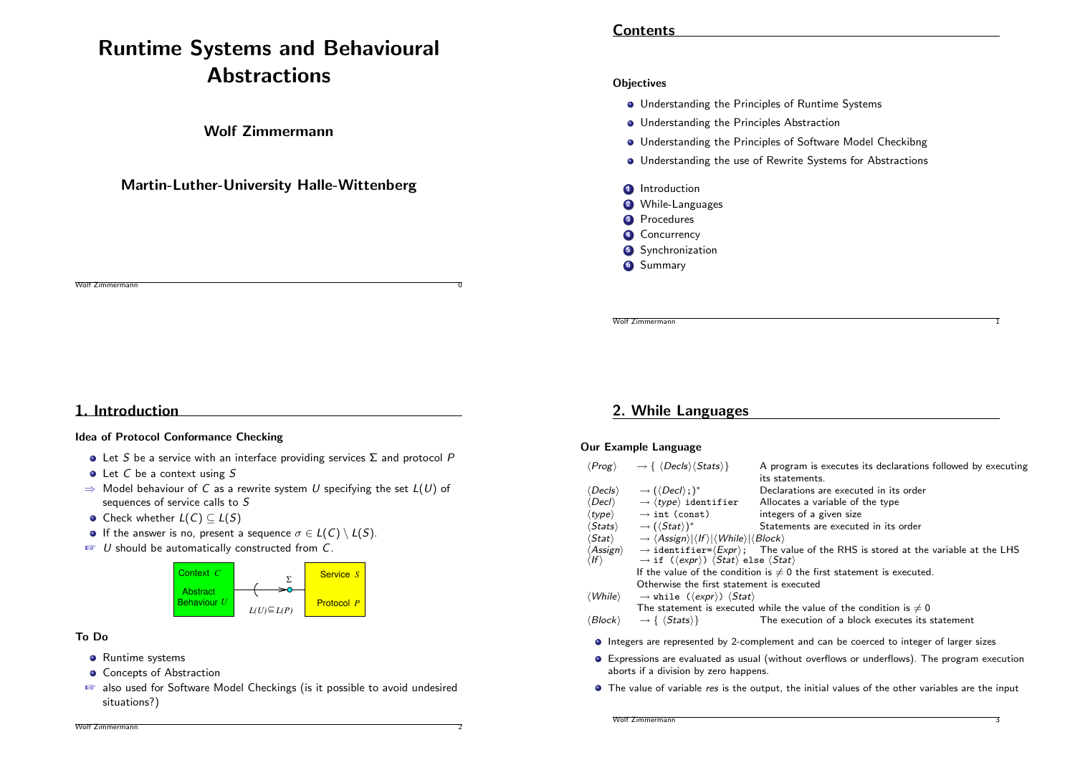# Runtime Systems and Behavioural **Abstractions**

### Wolf Zimmermann

### Martin-Luther-University Halle-Wittenberg

**Contents** 

#### **Objectives**

- **•** Understanding the Principles of Runtime Systems
- **Understanding the Principles Abstraction**
- **Understanding the Principles of Software Model Checkibng**
- **Understanding the use of Rewrite Systems for Abstractions**
- **1** Introduction
- 2 While-Languages
- **3** Procedures
- 4 Concurrency
- **5** Synchronization
- **6** Summary

Wolf Zimmermann

### 1. Introduction

#### Idea of Protocol Conformance Checking

- $\bullet$  Let S be a service with an interface providing services  $\Sigma$  and protocol P
- Let C be a context using S
- $\Rightarrow$  Model behaviour of C as a rewrite system U specifying the set  $L(U)$  of sequences of service calls to S
- Check whether  $L(C) \subset L(S)$
- If the answer is no, present a sequence  $\sigma \in L(C) \setminus L(S)$ .
- $\mathbb{F}$  U should be automatically constructed from C.



#### [To Do](#page-5-0)

- **•** Runtime systems
- **Concepts of Abstraction**
- also used for Software Model Checkings (is it possible to avoid undesired situations?)

# 2. While Languages

#### Our Example Language

|                                        | $\langle Prog \rangle \longrightarrow \{ \langle Decls \rangle \langle Stats \rangle \}$                                                                                                                       | A program is executes its declarations followed by executing<br>its statements. |  |  |  |
|----------------------------------------|----------------------------------------------------------------------------------------------------------------------------------------------------------------------------------------------------------------|---------------------------------------------------------------------------------|--|--|--|
| (Decls)                                | $\rightarrow (\langle Decl\rangle;)^*$                                                                                                                                                                         | Declarations are executed in its order                                          |  |  |  |
| $\langle$ Decl $\rangle$               | $\rightarrow$ (type) identifier                                                                                                                                                                                | Allocates a variable of the type                                                |  |  |  |
| $\langle\textit{type}\rangle$          | $\rightarrow$ int (const)                                                                                                                                                                                      | integers of a given size                                                        |  |  |  |
| $\langle \mathit{Stats} \rangle$       | $\rightarrow$ ( $\langle$ Stat $\rangle$ )*                                                                                                                                                                    | Statements are executed in its order                                            |  |  |  |
| $\langle \mathit{Stat}\rangle$         | $\rightarrow \langle Assign \rangle  \langle If \rangle  \langle While \rangle  \langle Block \rangle$                                                                                                         |                                                                                 |  |  |  |
| $\langle Assign\rangle$<br>$ f\rangle$ | $\rightarrow$ identifier= $\langle Expr \rangle$ ; The value of the RHS is stored at the variable at the LHS<br>$\rightarrow$ if ( $\langle expr \rangle$ ) $\langle Stat \rangle$ else $\langle Stat \rangle$ |                                                                                 |  |  |  |
|                                        | If the value of the condition is $\neq 0$ the first statement is executed.                                                                                                                                     |                                                                                 |  |  |  |
|                                        | Otherwise the first statement is executed                                                                                                                                                                      |                                                                                 |  |  |  |
| $\langle$ While $\rangle$              | $\rightarrow$ while ( $\langle expr \rangle$ ) $\langle Stat \rangle$                                                                                                                                          |                                                                                 |  |  |  |
|                                        |                                                                                                                                                                                                                | The statement is executed while the value of the condition is $\neq 0$          |  |  |  |
| 'Block)                                | $\rightarrow \{ \langle \mathit{Stats} \rangle \}$                                                                                                                                                             | The execution of a block executes its statement                                 |  |  |  |

Wolf Zimmermann 1

- Integers are represented by 2-complement and can be coerced to integer of larger sizes
- Expressions are evaluated as usual (without overflows or underflows). The program execution aborts if a division by zero happens.
- **The value of variable res is the output, the initial values of the other variables are the input**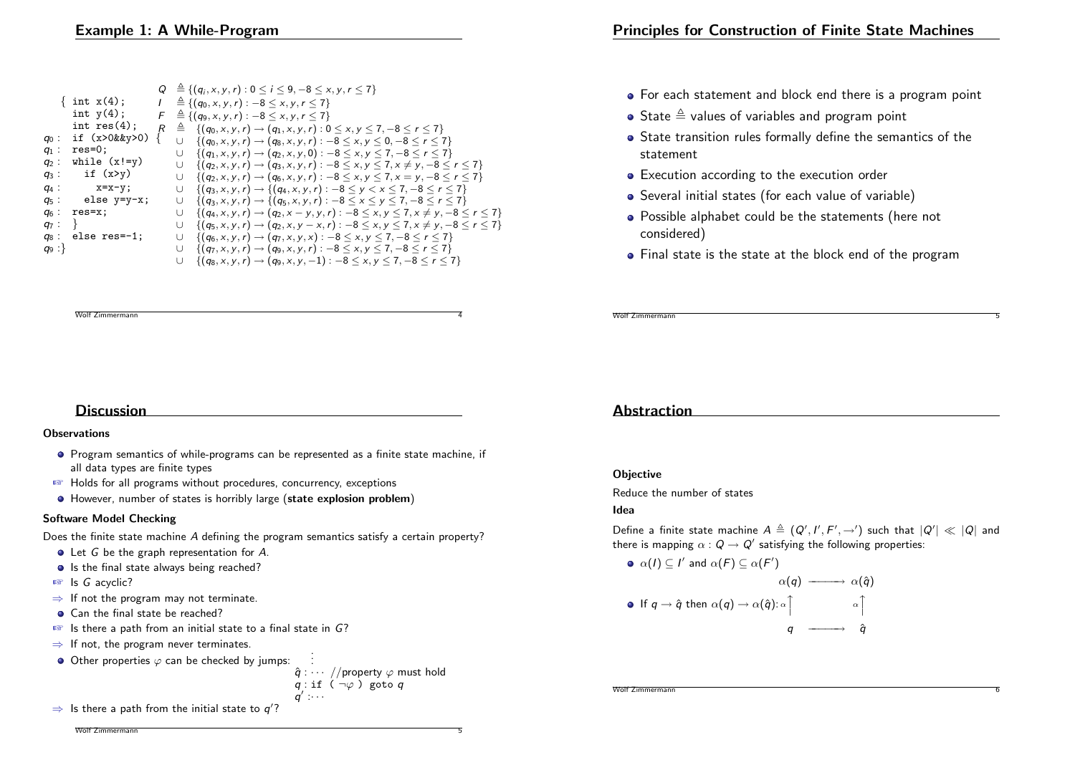|         |                     |   | $Q \triangleq \{(q_i, x, y, r): 0 \le i \le 9, -8 \le x, y, r \le 7\}$                                |
|---------|---------------------|---|-------------------------------------------------------------------------------------------------------|
|         | $\{$ int $x(4)$ ;   |   | $\triangleq \{(q_0, x, y, r): -8 \leq x, y, r \leq 7\}$                                               |
|         | int $y(4)$ ;        | F | $\triangleq \{(q_9, x, y, r): -8 \leq x, y, r \leq 7\}$                                               |
|         | int $res(4)$ ;      |   | $\{(q_0, x, y, r) \rightarrow (q_1, x, y, r) : 0 \le x, y \le 7, -8 \le r \le 7\}$<br>$\triangleq$    |
| $q_0$ : | if $(x>0$ & $xy>0)$ |   | $\{(q_0, x, y, r) \rightarrow (q_8, x, y, r) : -8 \le x, y \le 0, -8 \le r \le 7\}$<br>$\cup$         |
| $q_1$ : | $res=0$ ;           |   | $\{(q_1, x, y, r) \rightarrow (q_2, x, y, 0) : -8 \le x, y \le 7, -8 \le r \le 7\}$<br>U              |
| $q_2$ : | while $(x!=y)$      |   | $\{(q_2, x, y, r) \rightarrow (q_3, x, y, r) : -8 \le x, y \le 7, x \ne y, -8 \le r \le 7\}$<br>U     |
| $q_3$ : | if $(x>y)$          |   | $\{(q_2, x, y, r) \rightarrow (q_6, x, y, r) : -8 \le x, y \le 7, x = y, -8 \le r \le 7\}$<br>U       |
| $q_4$ : | $x=x-y;$            |   | $\{(q_3, x, y, r) \rightarrow \{(q_4, x, y, r) : -8 \leq y < x \leq 7, -8 \leq r \leq 7\}$<br>U       |
| $q_5$ : | else y=y-x;         |   | $\{(q_3, x, y, r) \rightarrow \{(q_5, x, y, r) : -8 \le x \le y \le 7, -8 \le r \le 7\}$<br>U         |
| $q_6$ : | $res=x$ ;           |   | $\{(q_4, x, y, r) \rightarrow (q_2, x - y, y, r) : -8 \le x, y \le 7, x \ne y, -8 \le r \le 7\}$<br>U |
| $q_7$ : |                     |   | $\{(q_5, x, y, r) \rightarrow (q_2, x, y - x, r) : -8 \le x, y \le 7, x \ne y, -8 \le r \le 7\}$<br>U |
| $q_8$ : | else res=-1;        |   | $\{(q_6, x, y, r) \rightarrow (q_7, x, y, x) : -8 \le x, y \le 7, -8 \le r \le 7\}$<br>U              |
| $q_9$ : |                     |   | $\{(q_7, x, y, r) \rightarrow (q_9, x, y, r) : -8 \le x, y \le 7, -8 \le r \le 7\}$<br>U              |
|         |                     |   | $\{(q_8, x, y, r) \rightarrow (q_9, x, y, -1) : -8 \le x, y \le 7, -8 \le r \le 7\}$<br>U             |

• For each statement and block end there is a program point

- State  $\triangleq$  values of variables and program point
- State transition rules formally define the semantics of the statement
- **•** Execution according to the execution order
- Several initial states (for each value of variable)
- Possible alphabet could be the statements (here not considered)
- Final state is the state at the block end of the program

Wolf Zimmermann 5

# **Discussion**

Wolf Zimmermann

#### **Observations**

- Program semantics of while-programs can be represented as a finite state machine, if all data types are finite types
- ☞ Holds for all programs without procedures, concurrency, exceptions
- However, number of states is horribly large (state explosion problem)

### Software Model Checking

Does the finite state machine A defining the program semantics satisfy a certain property?

- Let G be the graph representation for A.
- Is the final state always being reached?
- ☞ Is G acyclic?
- $\Rightarrow$  If not the program may not terminate.
- Can the final state be reached?
- ☞ Is there a path from an initial state to a final state in G?
- $\Rightarrow$  If not, the program never terminates.
- $\bullet$  Other properties  $\varphi$  can be checked by jumps:

$$
\begin{array}{l} \vdots \\ \hat{q} : \cdots \end{array} / \text{property } \varphi \text{ must hold} \\ q : \text{if } (\neg \varphi) \text{ goto } q \\ q' : \cdots \end{array}
$$

.

q

 $\Rightarrow$  Is there a path from the initial state to  $q'$ ?

#### Wolf Zimmermann

### Abstraction

### **Objective**

Reduce the number of states

### Idea

Define a finite state machine  $A\triangleq (Q',I',F',\rightarrow')$  such that  $|Q'|\ll |Q|$  and there is mapping  $\alpha: \pmb Q \to \pmb Q'$  satisfying the following properties:

\n- $$
\alpha(I) \subseteq I'
$$
 and  $\alpha(F) \subseteq \alpha(F')$
\n- $\alpha(q) \longrightarrow \alpha(\hat{q})$
\n- If  $q \to \hat{q}$  then  $\alpha(q) \to \alpha(\hat{q})$ :  $\alpha \upharpoonright$
\n- $q \longrightarrow \hat{q}$
\n

Wolf Zimmermann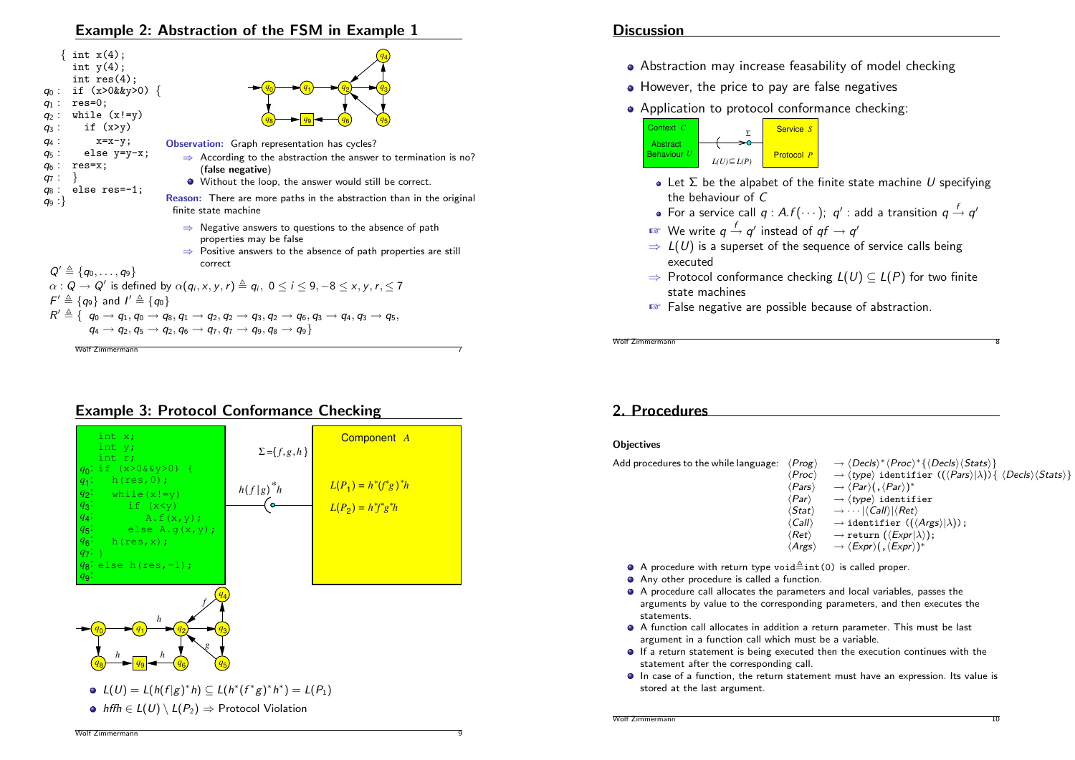### Example 2: Abstraction of the FSM in Example 1



### Example 3: Protocol Conformance Checking



### **Discussion**

- Abstraction may increase feasability of model checking
- However, the price to pay are false negatives
- Application to protocol conformance checking:



- Let  $\Sigma$  be the alpabet of the finite state machine U specifying the behaviour of C
- For a service call  $q$  : A. $f(\cdots);$   $q'$  : add a transition  $q \stackrel{f}{\rightarrow} q'$
- $\sqrt[\text{\tiny{I\!\!\mathcal{S}}\xspace}$  We write  $q\stackrel{f}{\rightarrow}q'$  instead of  $q f\rightarrow q'$
- $\Rightarrow$   $L(U)$  is a superset of the sequence of service calls being executed
- $\Rightarrow$  Protocol conformance checking  $L(U) \subseteq L(P)$  for two finite state machines
- ☞ False negative are possible because of abstraction.

Wolf Zimmermann

### 2. Procedures

#### **Objectives**

| Add procedures to the while language: | $\langle Prog \rangle$   | $\rightarrow \langle Decls \rangle^* \langle Proc \rangle^* \{ \langle Decls \rangle \langle Stats \rangle \}$                                |
|---------------------------------------|--------------------------|-----------------------------------------------------------------------------------------------------------------------------------------------|
|                                       | $\langle Proc\rangle$    | $\rightarrow$ (type) identifier (( $\langle \text{Pars} \rangle   \lambda$ )) { $\langle \text{Decls} \rangle \langle \text{Stats} \rangle$ } |
|                                       | (Pars)                   | $\rightarrow \langle Par \rangle ( \ , \langle Par \rangle )^*$                                                                               |
|                                       | (Par)                    | $\rightarrow$ (type) identifier                                                                                                               |
|                                       | $\langle$ Stat $\rangle$ | $\rightarrow \cdots$ $ \langle$ Call $\rangle$ $ \langle$ Ret $\rangle$                                                                       |
|                                       | (Call)                   | $\rightarrow$ identifier (( $\langle \text{Args} \rangle$ ));                                                                                 |
|                                       | (Ret)                    | $\rightarrow$ return $(\langle Expr \lambda\rangle);$                                                                                         |
|                                       |                          |                                                                                                                                               |

- $\langle \text{Args} \rangle \longrightarrow \langle \text{Expr} \rangle ( \, , \langle \text{Expr} \rangle )^*$
- A procedure with return type void $\triangleq$ int(0) is called proper.
- Any other procedure is called a function.
- A procedure call allocates the parameters and local variables, passes the arguments by value to the corresponding parameters, and then executes the statements.
- A function call allocates in addition a return parameter. This must be last argument in a function call which must be a variable.
- **If a return statement is being executed then the execution continues with the** statement after the corresponding call.
- In case of a function, the return statement must have an expression. Its value is stored at the last argument.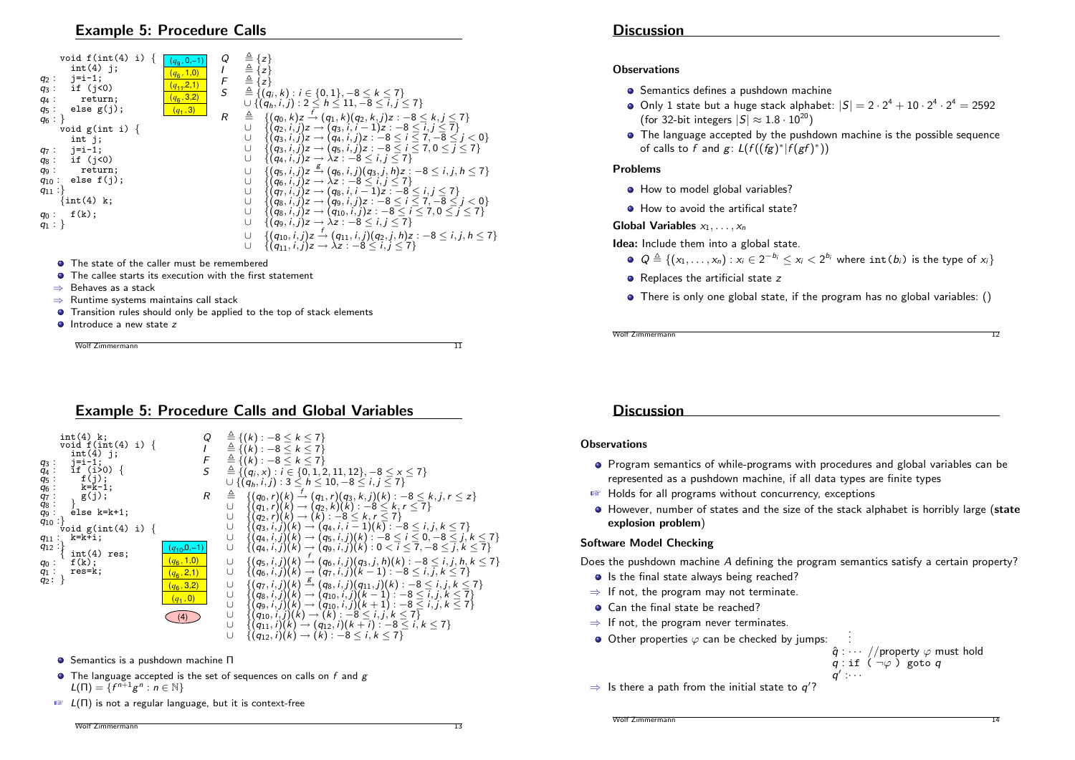### Example 5: Procedure Calls



- **•** The state of the caller must be remembered
- **O** The callee starts its execution with the first statement
- ⇒ Behaves as a stack
- ⇒ Runtime systems maintains call stack
- **•** Transition rules should only be applied to the top of stack elements
- **O** Introduce a new state z

Wolf Zimmermann 11

Example 5: Procedure Calls and Global Variables



- Semantics is a pushdown machine Π
- $\bullet$  The language accepted is the set of sequences on calls on  $f$  and  $g$  $L(\Pi) = \{f^{n+1}g^n : n \in \mathbb{N}\}\$
- $\mathbb{F}$   $L(\Pi)$  is not a regular language, but it is context-free

#### **Observations**

- **•** Semantics defines a pushdown machine
- Only 1 state but a huge stack alphabet:  $|S| = 2 \cdot 2^4 + 10 \cdot 2^4 \cdot 2^4 = 2592$ (for 32-bit integers  $|S| \approx 1.8 \cdot 10^{20}$ )
- The language accepted by the pushdown machine is the possible sequence of calls to f and  $g: L(f((fg)^* | f(gf)^*))$

#### Problems

- How to model global variables?
- How to avoid the artifical state?

Global Variables  $x_1, \ldots, x_n$ 

Idea: Include them into a global state.

- $Q \triangleq \{(x_1, \ldots, x_n) : x_i \in 2^{-b_i} \leq x_i < 2^{b_i} \text{ where } \text{int}(b_i) \text{ is the type of } x_i\}$
- $\bullet$  Replaces the artificial state z
- There is only one global state, if the program has no global variables: ()

Wolf Zimmermann 12

**Discussion** 

#### **Observations**

- Program semantics of while-programs with procedures and global variables can be represented as a pushdown machine, if all data types are finite types
- ☞ Holds for all programs without concurrency, exceptions
- $\bullet$  However, number of states and the size of the stack alphabet is horribly large (state explosion problem)

#### Software Model Checking

Does the pushdown machine A defining the program semantics satisfy a certain property?

. .

- Is the final state always being reached?
- $\Rightarrow$  If not, the program may not terminate.
- Can the final state be reached?
- $\Rightarrow$  If not, the program never terminates.
- $\bullet$  Other properties  $\varphi$  can be checked by jumps:



 $\Rightarrow$  Is there a path from the initial state to  $q'$ ?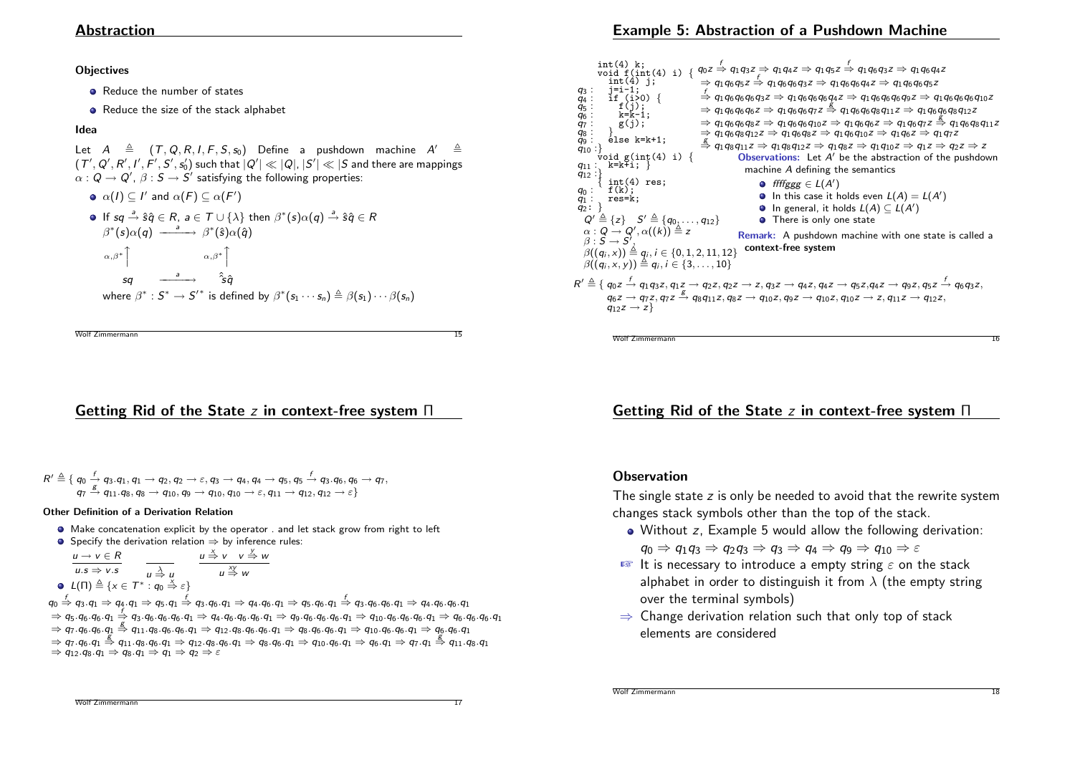### Abstraction

#### **Objectives**

- Reduce the number of states
- Reduce the size of the stack alphabet

### Idea

Let  $A \triangleq (T, Q, R, I, F, S, s_0)$  Define a pushdown machine A'  $\hat{\mathcal{C}}$  $(\,T',Q',R',I',F',S',s_0')$  such that  $|Q'|\ll |Q|,\,|S'|\ll |S|$  and there are mappings  $\alpha: \pmb Q \to \pmb Q',\ \beta: \pmb S \to \pmb S'$  satisfying the following properties:

\n- \n
$$
\alpha(I) \subseteq I'
$$
 and  $\alpha(F) \subseteq \alpha(F')$ \n
\n- \n If  $sq \stackrel{a}{\rightarrow} \hat{s}\hat{q} \in R$ ,  $a \in T \cup \{\lambda\}$  then  $\beta^*(s)\alpha(q) \stackrel{a}{\rightarrow} \hat{s}\hat{q} \in R$ ,  $\beta^*(s)\alpha(q) \stackrel{a}{\longrightarrow} \beta^*(\hat{s})\alpha(\hat{q})$ \n
\n- \n $\alpha, \beta^*$ \n
\n- \n $\alpha$ \n
\n- \n $\alpha$ \n
\n- \n $\alpha$ \n
\n- \n $\alpha$ \n
\n- \n $\alpha$ \n
\n- \n $\alpha$ \n
\n- \n $\alpha$ \n
\n- \n $\alpha$ \n
\n- \n $\alpha$ \n
\n- \n $\alpha$ \n
\n- \n $\alpha$ \n
\n- \n $\alpha$ \n
\n- \n $\alpha$ \n
\n- \n $\alpha$ \n
\n- \n $\alpha$ \n
\n- \n $\alpha$ \n
\n- \n $\alpha$ \n
\n- \n $\alpha$ \n
\n- \n $\alpha$ \n
\n- \n $\alpha$ \n
\n- \n $\alpha$ \n
\n- \n $\alpha$ \n
\n- \n $\alpha$ \n
\n- \n $\alpha$ \n
\n- \n $\alpha$ \n
\n- \n $\alpha$ \n
\n- \n $\alpha$ \n
\n- \n $\alpha$ \n
\n- \n $\alpha$ \n
\n- \n $\alpha$ \n
\n- \n $\alpha$ \n
\n- \n

Wolf Zimmermann 15

# Getting Rid of the State z in context-free system Π

$$
R' \triangleq \{ \begin{array}{l} q_1 \stackrel{f}{=} \{ \begin{array}{l} q_3. q_1, q_1 \rightarrow q_2, q_2 \rightarrow \varepsilon, q_3 \rightarrow q_4, q_4 \rightarrow q_5, q_5 \stackrel{f}{\rightarrow} q_3. q_6, q_6 \rightarrow q_7, \\ q_7 \stackrel{g}{\rightarrow} q_{11}. q_8, q_8 \rightarrow q_{10}, q_9 \rightarrow q_{10}, q_{10} \rightarrow \varepsilon, q_{11} \rightarrow q_{12}, q_{12} \rightarrow \varepsilon \} \end{array} \end{array}
$$

#### Other Definition of a Derivation Relation

Make concatenation explicit by the operator . and let stack grow from right to left **■** Specify the derivation relation  $\Rightarrow$  by inference rules:

• Specity the derivation relation 
$$
\Rightarrow
$$
 by inference in  $u \rightarrow v \in R$   $u \stackrel{x}{\rightarrow} v \quad v \stackrel{y}{\rightarrow} w$ 

$$
\overline{u.s \Rightarrow v.s} \qquad \overline{u \overset{\lambda}{\Rightarrow} u} \qquad \overline{u \overset{\lambda}{\Rightarrow} u}
$$
\n
$$
\bullet \quad L(\Pi) \overset{\triangle}{=} \{x \in T^* : q_0 \overset{\times}{\Rightarrow} \varepsilon\}
$$

 $q_0 \stackrel{f}{\Rightarrow} q_3.q_1 \Rightarrow q_4.q_1 \Rightarrow q_5.q_1 \stackrel{f}{\Rightarrow} q_3.q_6.q_1 \Rightarrow q_4.q_6.q_1 \Rightarrow q_5.q_6.q_1 \stackrel{f}{\Rightarrow} q_3.q_6.q_0q_1 \Rightarrow q_4.q_6.q_1$  $\Rightarrow$   $\mathsf{q}_5.\mathsf{q}_6.\mathsf{q}_6.\mathsf{q}_1 \Rightarrow$   $\mathsf{q}_3.\mathsf{q}_6.\mathsf{q}_6.\mathsf{q}_6.\mathsf{q}_1 \Rightarrow$   $\mathsf{q}_4.\mathsf{q}_6.\mathsf{q}_6.\mathsf{q}_1 \Rightarrow$   $\mathsf{q}_9.\mathsf{q}_6.\mathsf{q}_6.\mathsf{q}_1 \Rightarrow$   $\mathsf{q}_{10}.\mathsf{q}_6.\mathsf{q}_6.\mathsf{q}_1 \Rightarrow$   $\mathsf{q}_6.\mathsf{q}_6.\mathsf{q}_6$  $\Rightarrow$  q<sub>7</sub>.q<sub>6</sub>.q<sub>6</sub>.q<sub>1</sub> ⇒ q<sub>1</sub>.q<sub>8</sub>.q<sub>6</sub>.q<sub>6</sub>.q<sub>1</sub> ⇒ q<sub>12</sub>.q<sub>8</sub>.q<sub>6</sub>.q<sub>6</sub>.q<sub>1</sub> ⇒ q<sub>8</sub>.q<sub>6</sub>.q<sub>6</sub>.q<sub>1</sub> ⇒ q<sub>8</sub>.q<sub>6</sub>.q<sub>1</sub> ⇒ q<sub>10</sub>.q<sub>6</sub>.q<sub>5</sub>.q<sub>1</sub> ⇒ q<sub>1</sub> ⇒  $q_7.q_6.q_1 \stackrel{1}{\Rightarrow} q_{11}.q_8.q_6.q_1 \Rightarrow q_{12}.q_8.q_6.q_1 \Rightarrow q_8.q_6.q_1 \Rightarrow q_{10}.q_6.q_1 \Rightarrow q_6.q_1 \Rightarrow q_7.q_1 \stackrel{1}{\Rightarrow} q_{11}.q_8.q_1$  $\Rightarrow$  q<sub>12</sub>.q<sub>8</sub>.q<sub>1</sub>  $\Rightarrow$  q<sub>8</sub>.q<sub>1</sub>  $\Rightarrow$  q<sub>1</sub>  $\Rightarrow$  q<sub>2</sub>  $\Rightarrow$   $\varepsilon$ 

# Example 5: Abstraction of a Pushdown Machine



# Getting Rid of the State z in context-free system Π

### **Observation**

The single state z is only be needed to avoid that the rewrite system changes stack symbols other than the top of the stack.

Without z, Example 5 would allow the following derivation:

 $q_0 \Rightarrow q_1q_3 \Rightarrow q_2q_3 \Rightarrow q_3 \Rightarrow q_4 \Rightarrow q_9 \Rightarrow q_{10} \Rightarrow \epsilon$ 

- **EX** It is necessary to introduce a empty string  $\varepsilon$  on the stack alphabet in order to distinguish it from  $\lambda$  (the empty string over the terminal symbols)
- $\Rightarrow$  Change derivation relation such that only top of stack elements are considered

```
Wolf Zimmermann
```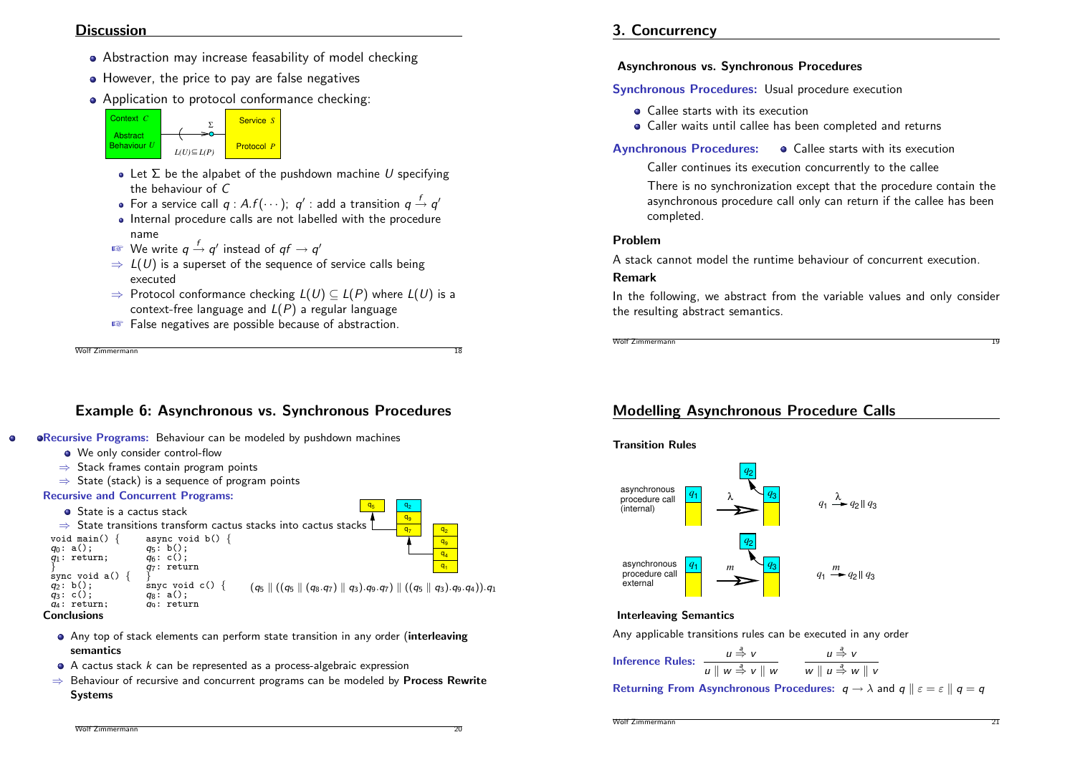### **Discussion**

- Abstraction may increase feasability of model checking
- However, the price to pay are false negatives
- Application to protocol conformance checking:



- Let  $\Sigma$  be the alpabet of the pushdown machine U specifying the behaviour of C
- For a service call  $q$  : A.f $(\cdots);$   $q'$  : add a transition  $q\stackrel{f}{\rightarrow}q'$
- Internal procedure calls are not labelled with the procedure name
- $\sqrt[\text{\tiny{I\!\!R}\!]}$  We write  $q \stackrel{f}{\rightarrow} q'$  instead of  $q f \rightarrow q'$
- $\Rightarrow$   $L(U)$  is a superset of the sequence of service calls being executed
- $\Rightarrow$  Protocol conformance checking  $L(U) \subseteq L(P)$  where  $L(U)$  is a context-free language and  $L(P)$  a regular language
- ☞ False negatives are possible because of abstraction.

Wolf Zimmermann 18

# Example 6: Asynchronous vs. Synchronous Procedures

- <span id="page-5-0"></span>**ORecursive Programs:** Behaviour can be modeled by pushdown machines
	- We only consider control-flow
	- $\Rightarrow$  Stack frames contain program points
	- $\Rightarrow$  State (stack) is a sequence of program points

### Recursive and Concurrent Programs:



- Any top of stack elements can perform state transition in any order (interleaving semantics
- $\bullet$  A cactus stack  $k$  can be represented as a process-algebraic expression
- $\Rightarrow$  Behaviour of recursive and concurrent programs can be modeled by **Process Rewrite** Systems

3. Concurrency

# Asynchronous vs. Synchronous Procedures

### Synchronous Procedures: Usual procedure execution

- Callee starts with its execution
- Caller waits until callee has been completed and returns

Aynchronous Procedures:  $\bullet$  Callee starts with its execution

Caller continues its execution concurrently to the callee

There is no synchronization except that the procedure contain the asynchronous procedure call only can return if the callee has been completed.

### Problem

A stack cannot model the runtime behaviour of concurrent execution.

### Remark

In the following, we abstract from the variable values and only consider the resulting abstract semantics.

Wolf Zimmermann 19

# Modelling Asynchronous Procedure Calls





### Interleaving Semantics

Any applicable transitions rules can be executed in any order

Inference Rules: 
$$
\frac{u \stackrel{3}{\Rightarrow} v}{u \parallel w \stackrel{3}{\Rightarrow} v \parallel w} \qquad \frac{u \stackrel{3}{\Rightarrow} v}{w \parallel u \stackrel{3}{\Rightarrow} w \parallel v}
$$

Returning From Asynchronous Procedures:  $q \rightarrow \lambda$  and  $q \parallel \varepsilon = \varepsilon \parallel q = q$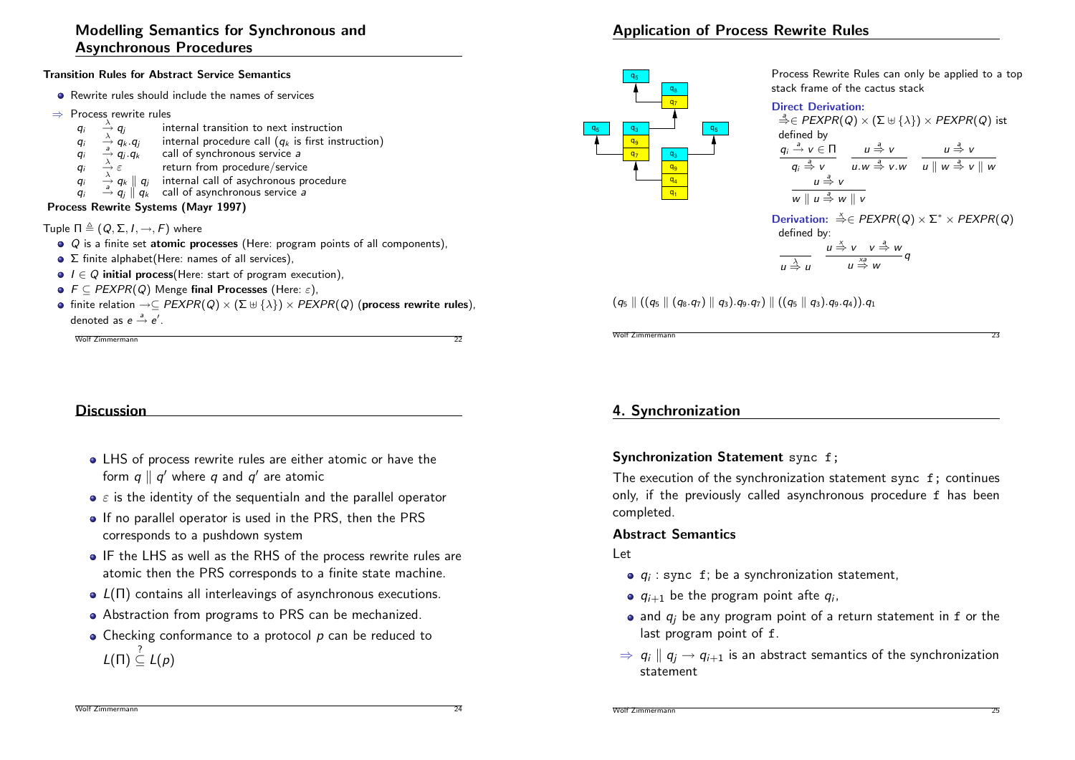# Modelling Semantics for Synchronous and Asynchronous Procedures

#### Transition Rules for Abstract Service Semantics

- **•** Rewrite rules should include the names of services
- ⇒ Process rewrite rules<br> $q_i \stackrel{\lambda}{\rightarrow} q_i$  in
	- qi
	- $\begin{array}{c}\n\stackrel{\wedge}{\longrightarrow} q_j$  internal transition to next instruction<br>  $\stackrel{\wedge}{\longrightarrow} q_k. q_j$  internal procedure call  $(q_k$  is first inst qi  $\overrightarrow{A}$  q<sub>k</sub> .q<sub>j</sub> internal procedure call (q<sub>k</sub> is first instruction)<br> $\overrightarrow{A}$  q<sub>i</sub> q<sub>k</sub> call of synchronous service *a*
	- qi  $\frac{\partial}{\partial y} \dot{q}_j \dot{q}_k$  call of synchronous service a<br>  $\frac{\partial}{\partial z} \varepsilon$  return from procedure/service
	- qi return from procedure/service
	- qi  $\stackrel{\lambda}{\rightarrow} q_k \parallel q_i$  internal call of asychronous procedure
	- $q_i$  $\frac{\partial}{\partial q} q_k \parallel q_l$  internation of asychronous provide a

#### Process Rewrite Systems (Mayr 1997)

Tuple  $\Pi \triangleq (Q, \Sigma, I, \rightarrow, F)$  where

- $\bullet$  Q is a finite set atomic processes (Here: program points of all components),
- $\bullet$   $\Sigma$  finite alphabet(Here: names of all services),
- $\bullet$   $I \in Q$  initial process(Here: start of program execution),
- $\bullet$   $F \subset PEXPR(Q)$  Menge final Processes (Here:  $\varepsilon$ ),
- **•** finite relation  $\rightarrow \subseteq PEXPR(Q) \times (\Sigma \cup \{\lambda\}) \times PEXPR(Q)$  (process rewrite rules), denoted as  $e \stackrel{a}{\rightarrow} e'$ .

```
Wolf Zimmermann
```
# **Discussion**

- <span id="page-6-0"></span>LHS of process rewrite rules are either atomic or have the form  $q \parallel q'$  where  $q$  and  $q'$  are atomic
- $\bullet \varepsilon$  is the identity of the sequentialn and the parallel operator
- If no parallel operator is used in the PRS, then the PRS corresponds to a pushdown system
- IF the LHS as well as the RHS of the process rewrite rules are atomic then the PRS corresponds to a finite state machine.
- $\bullet$   $L(\Pi)$  contains all interleavings of asynchronous executions.
- Abstraction from programs to PRS can be mechanized.
- Checking conformance to a protocol p can be reduced to  $L(\Pi) \stackrel{?}{\subseteq} L(\rho)$

# Application of Process Rewrite Rules



Process Rewrite Rules can only be applied to a top stack frame of the cactus stack

#### Direct Derivation:

 $\stackrel{a}{\Rightarrow} \in PEXPR(Q) \times (\Sigma \uplus {\lambda}) \times PEXPR(Q)$  ist defined by  $q_i \stackrel{a}{\rightarrow} v \in \Pi$  $q_i \stackrel{a}{\Rightarrow} v$  $u \stackrel{a}{\Rightarrow} v$  $u.w \stackrel{a}{\Rightarrow} v.w \quad u \parallel w \stackrel{a}{\Rightarrow} v \parallel w$ u <sup>a</sup>⇒ v  $u \stackrel{a}{\Rightarrow} v$  $w \parallel u \stackrel{a}{\Rightarrow} w \parallel v$ 

Derivation:  $\stackrel{x}{\Rightarrow}$  ∈ PEXPR(Q)  $\times$  Σ<sup>\*</sup>  $\times$  PEXPR(Q) defined by:

$$
\frac{u \stackrel{\lambda}{\Rightarrow} v \quad v \stackrel{a}{\Rightarrow} w}{u \stackrel{x_a}{\Rightarrow} w} q
$$

 $(q_5 \parallel ((q_5 \parallel (q_8,q_7) \parallel q_3).q_9,q_7) \parallel ((q_5 \parallel q_3).q_9,q_4)).q_1$ 

# 4. Synchronization

### Synchronization Statement sync f;

The execution of the synchronization statement sync f; continues only, if the previously called asynchronous procedure f has been completed.

Wolf Zimmermann 23

### Abstract Semantics

### Let

- $q_i$ : sync f; be a synchronization statement,
- $q_{i+1}$  be the program point afte  $q_i$ ,
- and  $q_i$  be any program point of a return statement in f or the last program point of f.
- $\Rightarrow$   $q_i \parallel q_i \rightarrow q_{i+1}$  is an abstract semantics of the synchronization statement